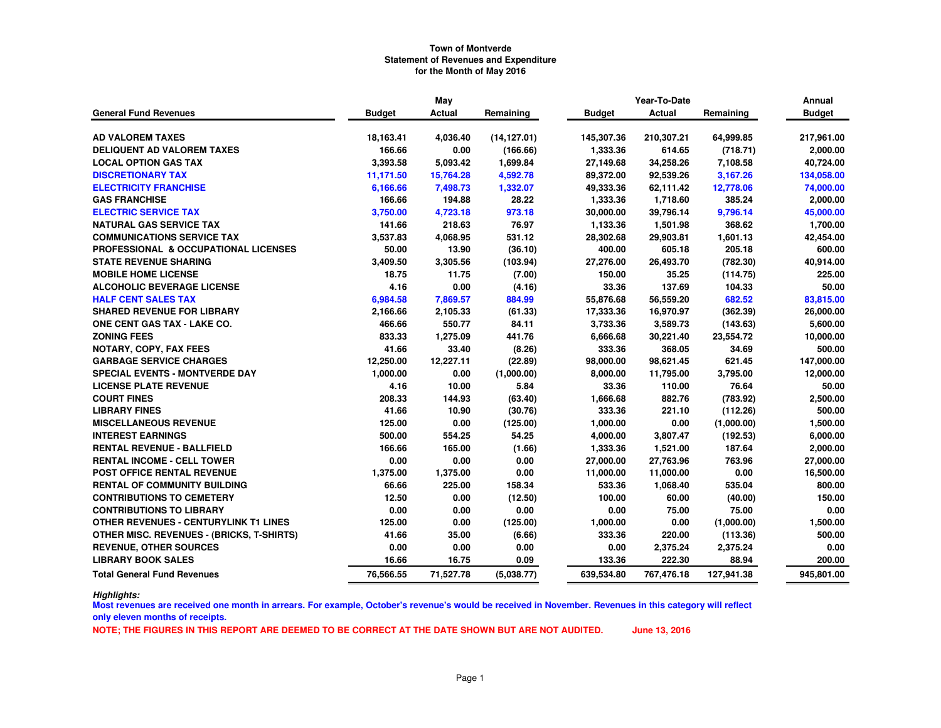|                                                 | May           |           |              |               | Year-To-Date |            | Annual        |
|-------------------------------------------------|---------------|-----------|--------------|---------------|--------------|------------|---------------|
| <b>General Fund Revenues</b>                    | <b>Budget</b> | Actual    | Remaining    | <b>Budget</b> | Actual       | Remaining  | <b>Budget</b> |
|                                                 |               |           |              |               |              |            |               |
| <b>AD VALOREM TAXES</b>                         | 18,163.41     | 4,036.40  | (14, 127.01) | 145,307.36    | 210,307.21   | 64,999.85  | 217,961.00    |
| <b>DELIQUENT AD VALOREM TAXES</b>               | 166.66        | 0.00      | (166.66)     | 1,333.36      | 614.65       | (718.71)   | 2,000.00      |
| <b>LOCAL OPTION GAS TAX</b>                     | 3,393.58      | 5,093.42  | 1,699.84     | 27,149.68     | 34,258.26    | 7,108.58   | 40,724.00     |
| <b>DISCRETIONARY TAX</b>                        | 11,171.50     | 15,764.28 | 4,592.78     | 89,372.00     | 92,539.26    | 3,167.26   | 134,058.00    |
| <b>ELECTRICITY FRANCHISE</b>                    | 6,166.66      | 7,498.73  | 1,332.07     | 49,333.36     | 62,111.42    | 12,778.06  | 74,000.00     |
| <b>GAS FRANCHISE</b>                            | 166.66        | 194.88    | 28.22        | 1,333.36      | 1,718.60     | 385.24     | 2,000.00      |
| <b>ELECTRIC SERVICE TAX</b>                     | 3,750.00      | 4,723.18  | 973.18       | 30,000.00     | 39,796.14    | 9,796.14   | 45,000.00     |
| <b>NATURAL GAS SERVICE TAX</b>                  | 141.66        | 218.63    | 76.97        | 1,133.36      | 1,501.98     | 368.62     | 1,700.00      |
| <b>COMMUNICATIONS SERVICE TAX</b>               | 3,537.83      | 4,068.95  | 531.12       | 28,302.68     | 29,903.81    | 1,601.13   | 42,454.00     |
| <b>PROFESSIONAL &amp; OCCUPATIONAL LICENSES</b> | 50.00         | 13.90     | (36.10)      | 400.00        | 605.18       | 205.18     | 600.00        |
| <b>STATE REVENUE SHARING</b>                    | 3,409.50      | 3,305.56  | (103.94)     | 27,276.00     | 26,493.70    | (782.30)   | 40,914.00     |
| <b>MOBILE HOME LICENSE</b>                      | 18.75         | 11.75     | (7.00)       | 150.00        | 35.25        | (114.75)   | 225.00        |
| <b>ALCOHOLIC BEVERAGE LICENSE</b>               | 4.16          | 0.00      | (4.16)       | 33.36         | 137.69       | 104.33     | 50.00         |
| <b>HALF CENT SALES TAX</b>                      | 6,984.58      | 7,869.57  | 884.99       | 55,876.68     | 56,559.20    | 682.52     | 83,815.00     |
| <b>SHARED REVENUE FOR LIBRARY</b>               | 2,166.66      | 2,105.33  | (61.33)      | 17,333.36     | 16,970.97    | (362.39)   | 26,000.00     |
| ONE CENT GAS TAX - LAKE CO.                     | 466.66        | 550.77    | 84.11        | 3,733.36      | 3,589.73     | (143.63)   | 5,600.00      |
| <b>ZONING FEES</b>                              | 833.33        | 1,275.09  | 441.76       | 6,666.68      | 30,221.40    | 23,554.72  | 10,000.00     |
| <b>NOTARY, COPY, FAX FEES</b>                   | 41.66         | 33.40     | (8.26)       | 333.36        | 368.05       | 34.69      | 500.00        |
| <b>GARBAGE SERVICE CHARGES</b>                  | 12,250.00     | 12,227.11 | (22.89)      | 98,000.00     | 98,621.45    | 621.45     | 147,000.00    |
| <b>SPECIAL EVENTS - MONTVERDE DAY</b>           | 1,000.00      | 0.00      | (1,000.00)   | 8,000.00      | 11,795.00    | 3,795.00   | 12,000.00     |
| <b>LICENSE PLATE REVENUE</b>                    | 4.16          | 10.00     | 5.84         | 33.36         | 110.00       | 76.64      | 50.00         |
| <b>COURT FINES</b>                              | 208.33        | 144.93    | (63.40)      | 1,666.68      | 882.76       | (783.92)   | 2,500.00      |
| <b>LIBRARY FINES</b>                            | 41.66         | 10.90     | (30.76)      | 333.36        | 221.10       | (112.26)   | 500.00        |
| <b>MISCELLANEOUS REVENUE</b>                    | 125.00        | 0.00      | (125.00)     | 1,000.00      | 0.00         | (1,000.00) | 1,500.00      |
| <b>INTEREST EARNINGS</b>                        | 500.00        | 554.25    | 54.25        | 4,000.00      | 3,807.47     | (192.53)   | 6,000.00      |
| <b>RENTAL REVENUE - BALLFIELD</b>               | 166.66        | 165.00    | (1.66)       | 1,333.36      | 1,521.00     | 187.64     | 2,000.00      |
| <b>RENTAL INCOME - CELL TOWER</b>               | 0.00          | 0.00      | 0.00         | 27,000.00     | 27,763.96    | 763.96     | 27,000.00     |
| <b>POST OFFICE RENTAL REVENUE</b>               | 1,375.00      | 1,375.00  | 0.00         | 11,000.00     | 11,000.00    | 0.00       | 16,500.00     |
| <b>RENTAL OF COMMUNITY BUILDING</b>             | 66.66         | 225.00    | 158.34       | 533.36        | 1,068.40     | 535.04     | 800.00        |
| <b>CONTRIBUTIONS TO CEMETERY</b>                | 12.50         | 0.00      | (12.50)      | 100.00        | 60.00        | (40.00)    | 150.00        |
| <b>CONTRIBUTIONS TO LIBRARY</b>                 | 0.00          | 0.00      | 0.00         | 0.00          | 75.00        | 75.00      | 0.00          |
| OTHER REVENUES - CENTURYLINK T1 LINES           | 125.00        | 0.00      | (125.00)     | 1,000.00      | 0.00         | (1,000.00) | 1,500.00      |
| OTHER MISC. REVENUES - (BRICKS, T-SHIRTS)       | 41.66         | 35.00     | (6.66)       | 333.36        | 220.00       | (113.36)   | 500.00        |
| <b>REVENUE, OTHER SOURCES</b>                   | 0.00          | 0.00      | 0.00         | 0.00          | 2,375.24     | 2,375.24   | 0.00          |
| <b>LIBRARY BOOK SALES</b>                       | 16.66         | 16.75     | 0.09         | 133.36        | 222.30       | 88.94      | 200.00        |
| <b>Total General Fund Revenues</b>              | 76,566.55     | 71,527.78 | (5,038.77)   | 639,534.80    | 767,476.18   | 127,941.38 | 945,801.00    |

*Highlights:*

 **Most revenues are received one month in arrears. For example, October's revenue's would be received in November. Revenues in this category will reflect only eleven months of receipts.**

**NOTE; THE FIGURES IN THIS REPORT ARE DEEMED TO BE CORRECT AT THE DATE SHOWN BUT ARE NOT AUDITED. June 13, 2016**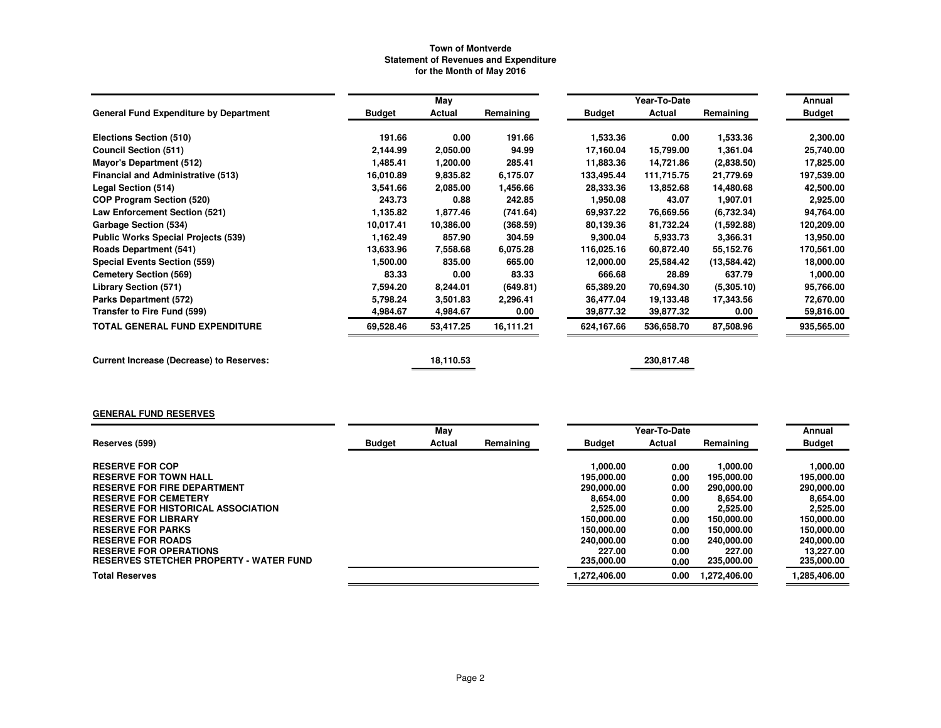|                                                 |               | May       |           |            | Year-To-Date |             | Annual        |
|-------------------------------------------------|---------------|-----------|-----------|------------|--------------|-------------|---------------|
| <b>General Fund Expenditure by Department</b>   | <b>Budget</b> | Actual    | Remaining | Budget     | Actual       | Remaining   | <b>Budget</b> |
| Elections Section (510)                         | 191.66        | 0.00      | 191.66    | 1,533.36   | 0.00         | 1,533.36    | 2,300.00      |
| <b>Council Section (511)</b>                    | 2,144.99      | 2,050.00  | 94.99     | 17,160.04  | 15,799.00    | 1,361.04    | 25,740.00     |
| <b>Mayor's Department (512)</b>                 | 1,485.41      | 1,200.00  | 285.41    | 11,883.36  | 14,721.86    | (2,838.50)  | 17,825.00     |
| <b>Financial and Administrative (513)</b>       | 16,010.89     | 9,835.82  | 6.175.07  | 133,495.44 | 111,715.75   | 21,779.69   | 197,539.00    |
| Legal Section (514)                             | 3,541.66      | 2,085.00  | 1,456.66  | 28,333.36  | 13,852.68    | 14,480.68   | 42,500.00     |
| <b>COP Program Section (520)</b>                | 243.73        | 0.88      | 242.85    | 1,950.08   | 43.07        | 1,907.01    | 2,925.00      |
| Law Enforcement Section (521)                   | 1,135.82      | 1,877.46  | (741.64)  | 69,937.22  | 76,669.56    | (6,732.34)  | 94,764.00     |
| Garbage Section (534)                           | 10,017.41     | 10,386.00 | (368.59)  | 80,139.36  | 81,732.24    | (1,592.88)  | 120,209.00    |
| <b>Public Works Special Projects (539)</b>      | 1,162.49      | 857.90    | 304.59    | 9,300.04   | 5,933.73     | 3,366.31    | 13,950.00     |
| <b>Roads Department (541)</b>                   | 13,633.96     | 7,558.68  | 6,075.28  | 116,025.16 | 60,872.40    | 55,152.76   | 170,561.00    |
| <b>Special Events Section (559)</b>             | 1,500.00      | 835.00    | 665.00    | 12,000.00  | 25,584.42    | (13,584.42) | 18,000.00     |
| <b>Cemetery Section (569)</b>                   | 83.33         | 0.00      | 83.33     | 666.68     | 28.89        | 637.79      | 1,000.00      |
| Library Section (571)                           | 7,594.20      | 8,244.01  | (649.81)  | 65,389.20  | 70,694.30    | (5,305.10)  | 95,766.00     |
| Parks Department (572)                          | 5,798.24      | 3,501.83  | 2,296.41  | 36,477.04  | 19,133.48    | 17,343.56   | 72,670.00     |
| Transfer to Fire Fund (599)                     | 4,984.67      | 4,984.67  | 0.00      | 39,877.32  | 39,877.32    | 0.00        | 59,816.00     |
| <b>TOTAL GENERAL FUND EXPENDITURE</b>           | 69,528.46     | 53,417.25 | 16,111.21 | 624,167.66 | 536,658.70   | 87,508.96   | 935,565.00    |
| <b>Current Increase (Decrease) to Reserves:</b> |               | 18,110.53 |           |            | 230,817.48   |             |               |

## **GENERAL FUND RESERVES**

|                                                | May           |        |           |               | Year-To-Date |              | Annual        |
|------------------------------------------------|---------------|--------|-----------|---------------|--------------|--------------|---------------|
| Reserves (599)                                 | <b>Budget</b> | Actual | Remaining | <b>Budget</b> | Actual       | Remaining    | <b>Budget</b> |
| <b>RESERVE FOR COP</b>                         |               |        |           | 1.000.00      | 0.00         | 1,000.00     | 1.000.00      |
| <b>RESERVE FOR TOWN HALL</b>                   |               |        |           | 195.000.00    | 0.00         | 195.000.00   | 195.000.00    |
| <b>RESERVE FOR FIRE DEPARTMENT</b>             |               |        |           | 290.000.00    | 0.00         | 290,000.00   | 290,000.00    |
| <b>RESERVE FOR CEMETERY</b>                    |               |        |           | 8.654.00      | 0.00         | 8.654.00     | 8.654.00      |
| <b>RESERVE FOR HISTORICAL ASSOCIATION</b>      |               |        |           | 2,525.00      | 0.00         | 2,525.00     | 2,525.00      |
| <b>RESERVE FOR LIBRARY</b>                     |               |        |           | 150.000.00    | 0.00         | 150,000,00   | 150.000.00    |
| <b>RESERVE FOR PARKS</b>                       |               |        |           | 150.000.00    | 0.00         | 150,000.00   | 150,000.00    |
| <b>RESERVE FOR ROADS</b>                       |               |        |           | 240,000,00    | 0.00         | 240.000.00   | 240,000.00    |
| <b>RESERVE FOR OPERATIONS</b>                  |               |        |           | 227.00        | 0.00         | 227.00       | 13.227.00     |
| <b>RESERVES STETCHER PROPERTY - WATER FUND</b> |               |        |           | 235,000,00    | 0.00         | 235,000.00   | 235,000.00    |
| <b>Total Reserves</b>                          |               |        |           | 1.272.406.00  | 0.00         | 1.272.406.00 | 1,285,406.00  |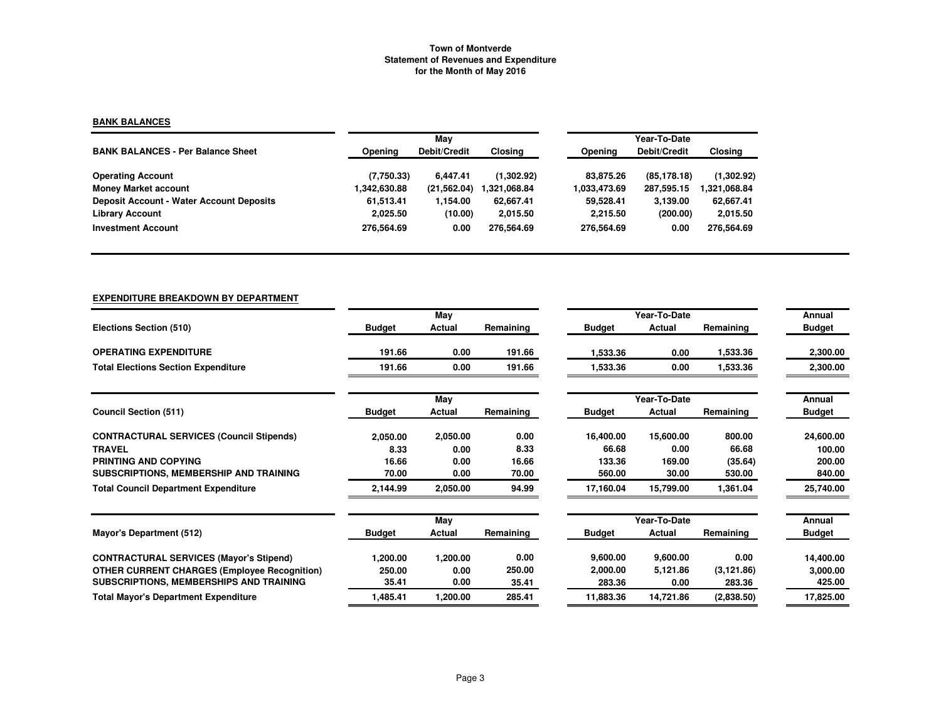# **BANK BALANCES**

|                                                 |              | May          |              | Year-To-Date |                     |              |  |  |
|-------------------------------------------------|--------------|--------------|--------------|--------------|---------------------|--------------|--|--|
| <b>BANK BALANCES - Per Balance Sheet</b>        | Opening      | Debit/Credit | Closing      | Opening      | <b>Debit/Credit</b> | Closing      |  |  |
| <b>Operating Account</b>                        | (7,750.33)   | 6.447.41     | (1,302.92)   | 83.875.26    | (85, 178, 18)       | (1,302.92)   |  |  |
| <b>Money Market account</b>                     | 1,342,630.88 | (21, 562.04) | 1.321.068.84 | 1.033,473.69 | 287,595.15          | 321,068.84 ا |  |  |
| <b>Deposit Account - Water Account Deposits</b> | 61,513.41    | 1.154.00     | 62,667.41    | 59,528.41    | 3,139.00            | 62,667.41    |  |  |
| <b>Library Account</b>                          | 2,025.50     | (10.00)      | 2,015.50     | 2,215.50     | (200.00)            | 2,015.50     |  |  |
| <b>Investment Account</b>                       | 276.564.69   | 0.00         | 276.564.69   | 276.564.69   | 0.00                | 276.564.69   |  |  |

## **EXPENDITURE BREAKDOWN BY DEPARTMENT**

|                                                     |               | May      |           |               | Year-To-Date  |             | Annual        |
|-----------------------------------------------------|---------------|----------|-----------|---------------|---------------|-------------|---------------|
| Elections Section (510)                             | <b>Budget</b> | Actual   | Remaining | <b>Budget</b> | Actual        | Remaining   | <b>Budget</b> |
| <b>OPERATING EXPENDITURE</b>                        | 191.66        | 0.00     | 191.66    | 1,533.36      | 0.00          | 1,533.36    | 2,300.00      |
| <b>Total Elections Section Expenditure</b>          | 191.66        | 0.00     | 191.66    | 1,533.36      | 0.00          | 1,533.36    | 2,300.00      |
|                                                     |               | May      |           |               | Year-To-Date  |             | Annual        |
| <b>Council Section (511)</b>                        | <b>Budget</b> | Actual   | Remaining | <b>Budget</b> | <b>Actual</b> | Remaining   | <b>Budget</b> |
| <b>CONTRACTURAL SERVICES (Council Stipends)</b>     | 2,050.00      | 2,050.00 | 0.00      | 16,400.00     | 15,600.00     | 800.00      | 24,600.00     |
| <b>TRAVEL</b>                                       | 8.33          | 0.00     | 8.33      | 66.68         | 0.00          | 66.68       | 100.00        |
| PRINTING AND COPYING                                | 16.66         | 0.00     | 16.66     | 133.36        | 169.00        | (35.64)     | 200.00        |
| SUBSCRIPTIONS, MEMBERSHIP AND TRAINING              | 70.00         | 0.00     | 70.00     | 560.00        | 30.00         | 530.00      | 840.00        |
| <b>Total Council Department Expenditure</b>         | 2,144.99      | 2,050.00 | 94.99     | 17,160.04     | 15,799.00     | 1,361.04    | 25,740.00     |
|                                                     |               | May      |           |               | Year-To-Date  |             | Annual        |
| <b>Mayor's Department (512)</b>                     | <b>Budget</b> | Actual   | Remaining | <b>Budget</b> | Actual        | Remaining   | <b>Budget</b> |
| <b>CONTRACTURAL SERVICES (Mayor's Stipend)</b>      | 1,200.00      | 1,200.00 | 0.00      | 9,600.00      | 9,600.00      | 0.00        | 14,400.00     |
| <b>OTHER CURRENT CHARGES (Employee Recognition)</b> | 250.00        | 0.00     | 250.00    | 2,000.00      | 5.121.86      | (3, 121.86) | 3,000.00      |
| SUBSCRIPTIONS, MEMBERSHIPS AND TRAINING             | 35.41         | 0.00     | 35.41     | 283.36        | 0.00          | 283.36      | 425.00        |
| <b>Total Mayor's Department Expenditure</b>         | 1,485.41      | 1,200.00 | 285.41    | 11,883.36     | 14,721.86     | (2,838.50)  | 17,825.00     |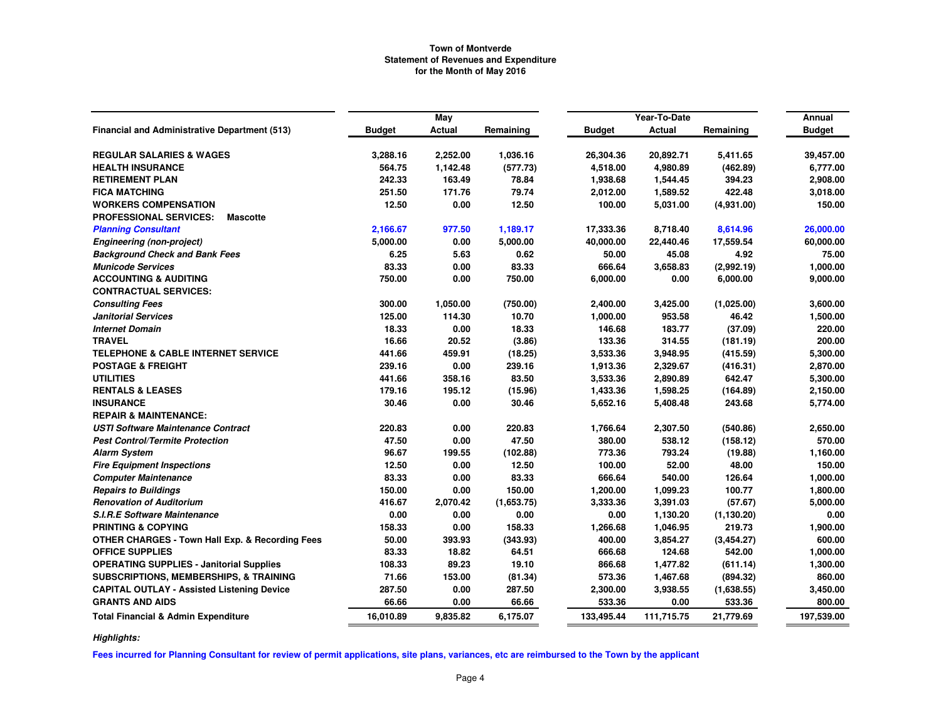|                                                            |               | May      |            |               | Year-To-Date  |             | Annual        |
|------------------------------------------------------------|---------------|----------|------------|---------------|---------------|-------------|---------------|
| <b>Financial and Administrative Department (513)</b>       | <b>Budget</b> | Actual   | Remaining  | <b>Budget</b> | <b>Actual</b> | Remaining   | <b>Budget</b> |
|                                                            |               |          |            |               |               |             |               |
| <b>REGULAR SALARIES &amp; WAGES</b>                        | 3,288.16      | 2,252.00 | 1,036.16   | 26,304.36     | 20,892.71     | 5,411.65    | 39,457.00     |
| <b>HEALTH INSURANCE</b>                                    | 564.75        | 1,142.48 | (577.73)   | 4,518.00      | 4,980.89      | (462.89)    | 6,777.00      |
| <b>RETIREMENT PLAN</b>                                     | 242.33        | 163.49   | 78.84      | 1,938.68      | 1,544.45      | 394.23      | 2,908.00      |
| <b>FICA MATCHING</b>                                       | 251.50        | 171.76   | 79.74      | 2,012.00      | 1,589.52      | 422.48      | 3,018.00      |
| <b>WORKERS COMPENSATION</b>                                | 12.50         | 0.00     | 12.50      | 100.00        | 5,031.00      | (4,931.00)  | 150.00        |
| <b>PROFESSIONAL SERVICES:</b><br><b>Mascotte</b>           |               |          |            |               |               |             |               |
| <b>Planning Consultant</b>                                 | 2,166.67      | 977.50   | 1,189.17   | 17,333.36     | 8,718.40      | 8,614.96    | 26,000.00     |
| <b>Engineering (non-project)</b>                           | 5,000.00      | 0.00     | 5,000.00   | 40,000.00     | 22,440.46     | 17,559.54   | 60,000.00     |
| <b>Background Check and Bank Fees</b>                      | 6.25          | 5.63     | 0.62       | 50.00         | 45.08         | 4.92        | 75.00         |
| <b>Municode Services</b>                                   | 83.33         | 0.00     | 83.33      | 666.64        | 3,658.83      | (2,992.19)  | 1,000.00      |
| <b>ACCOUNTING &amp; AUDITING</b>                           | 750.00        | 0.00     | 750.00     | 6,000.00      | 0.00          | 6,000.00    | 9,000.00      |
| <b>CONTRACTUAL SERVICES:</b>                               |               |          |            |               |               |             |               |
| <b>Consulting Fees</b>                                     | 300.00        | 1,050.00 | (750.00)   | 2,400.00      | 3,425.00      | (1,025.00)  | 3,600.00      |
| <b>Janitorial Services</b>                                 | 125.00        | 114.30   | 10.70      | 1,000.00      | 953.58        | 46.42       | 1,500.00      |
| <b>Internet Domain</b>                                     | 18.33         | 0.00     | 18.33      | 146.68        | 183.77        | (37.09)     | 220.00        |
| <b>TRAVEL</b>                                              | 16.66         | 20.52    | (3.86)     | 133.36        | 314.55        | (181.19)    | 200.00        |
| <b>TELEPHONE &amp; CABLE INTERNET SERVICE</b>              | 441.66        | 459.91   | (18.25)    | 3,533.36      | 3,948.95      | (415.59)    | 5,300.00      |
| <b>POSTAGE &amp; FREIGHT</b>                               | 239.16        | 0.00     | 239.16     | 1,913.36      | 2,329.67      | (416.31)    | 2,870.00      |
| <b>UTILITIES</b>                                           | 441.66        | 358.16   | 83.50      | 3,533.36      | 2,890.89      | 642.47      | 5,300.00      |
| <b>RENTALS &amp; LEASES</b>                                | 179.16        | 195.12   | (15.96)    | 1,433.36      | 1,598.25      | (164.89)    | 2,150.00      |
| <b>INSURANCE</b>                                           | 30.46         | 0.00     | 30.46      | 5,652.16      | 5,408.48      | 243.68      | 5,774.00      |
| <b>REPAIR &amp; MAINTENANCE:</b>                           |               |          |            |               |               |             |               |
| <b>USTI Software Maintenance Contract</b>                  | 220.83        | 0.00     | 220.83     | 1,766.64      | 2,307.50      | (540.86)    | 2,650.00      |
| <b>Pest Control/Termite Protection</b>                     | 47.50         | 0.00     | 47.50      | 380.00        | 538.12        | (158.12)    | 570.00        |
| <b>Alarm System</b>                                        | 96.67         | 199.55   | (102.88)   | 773.36        | 793.24        | (19.88)     | 1,160.00      |
| <b>Fire Equipment Inspections</b>                          | 12.50         | 0.00     | 12.50      | 100.00        | 52.00         | 48.00       | 150.00        |
| <b>Computer Maintenance</b>                                | 83.33         | 0.00     | 83.33      | 666.64        | 540.00        | 126.64      | 1,000.00      |
| <b>Repairs to Buildings</b>                                | 150.00        | 0.00     | 150.00     | 1,200.00      | 1,099.23      | 100.77      | 1,800.00      |
| <b>Renovation of Auditorium</b>                            | 416.67        | 2,070.42 | (1,653.75) | 3,333.36      | 3,391.03      | (57.67)     | 5,000.00      |
| <b>S.I.R.E Software Maintenance</b>                        | 0.00          | 0.00     | 0.00       | 0.00          | 1,130.20      | (1, 130.20) | 0.00          |
| <b>PRINTING &amp; COPYING</b>                              | 158.33        | 0.00     | 158.33     | 1,266.68      | 1,046.95      | 219.73      | 1,900.00      |
| <b>OTHER CHARGES - Town Hall Exp. &amp; Recording Fees</b> | 50.00         | 393.93   | (343.93)   | 400.00        | 3,854.27      | (3,454.27)  | 600.00        |
| <b>OFFICE SUPPLIES</b>                                     | 83.33         | 18.82    | 64.51      | 666.68        | 124.68        | 542.00      | 1,000.00      |
| <b>OPERATING SUPPLIES - Janitorial Supplies</b>            | 108.33        | 89.23    | 19.10      | 866.68        | 1,477.82      | (611.14)    | 1,300.00      |
| <b>SUBSCRIPTIONS, MEMBERSHIPS, &amp; TRAINING</b>          | 71.66         | 153.00   | (81.34)    | 573.36        | 1,467.68      | (894.32)    | 860.00        |
| <b>CAPITAL OUTLAY - Assisted Listening Device</b>          | 287.50        | 0.00     | 287.50     | 2,300.00      | 3,938.55      | (1,638.55)  | 3,450.00      |
| <b>GRANTS AND AIDS</b>                                     | 66.66         | 0.00     | 66.66      | 533.36        | 0.00          | 533.36      | 800.00        |
| <b>Total Financial &amp; Admin Expenditure</b>             | 16,010.89     | 9,835.82 | 6,175.07   | 133,495.44    | 111,715.75    | 21,779.69   | 197,539.00    |

*Highlights:*

**Fees incurred for Planning Consultant for review of permit applications, site plans, variances, etc are reimbursed to the Town by the applicant**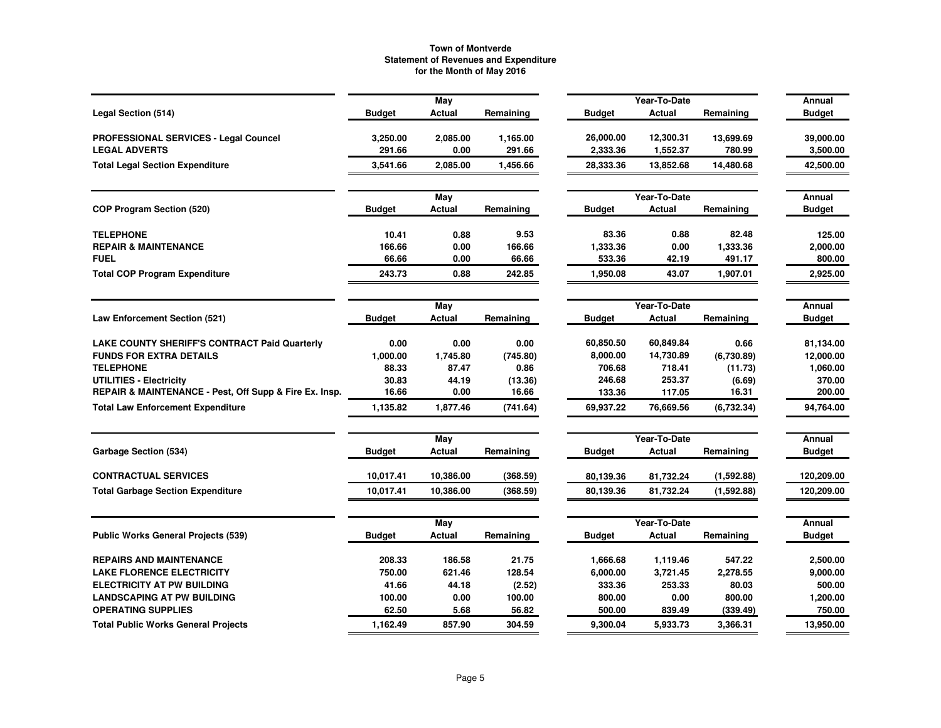|                                                        |               | May       |           |               | Year-To-Date  |            | Annual        |
|--------------------------------------------------------|---------------|-----------|-----------|---------------|---------------|------------|---------------|
| Legal Section (514)                                    | <b>Budget</b> | Actual    | Remaining | <b>Budget</b> | Actual        | Remaining  | <b>Budget</b> |
| PROFESSIONAL SERVICES - Legal Councel                  | 3,250.00      | 2,085.00  | 1,165.00  | 26,000.00     | 12,300.31     | 13,699.69  | 39,000.00     |
| <b>LEGAL ADVERTS</b>                                   | 291.66        | 0.00      | 291.66    | 2,333.36      | 1,552.37      | 780.99     | 3,500.00      |
| <b>Total Legal Section Expenditure</b>                 | 3,541.66      | 2,085.00  | 1,456.66  | 28,333.36     | 13,852.68     | 14,480.68  | 42,500.00     |
|                                                        |               | May       |           |               | Year-To-Date  |            | Annual        |
| COP Program Section (520)                              | <b>Budget</b> | Actual    | Remaining | <b>Budget</b> | Actual        | Remaining  | <b>Budget</b> |
| <b>TELEPHONE</b>                                       | 10.41         | 0.88      | 9.53      | 83.36         | 0.88          | 82.48      | 125.00        |
| <b>REPAIR &amp; MAINTENANCE</b>                        | 166.66        | 0.00      | 166.66    | 1,333.36      | 0.00          | 1,333.36   | 2,000.00      |
| <b>FUEL</b>                                            | 66.66         | 0.00      | 66.66     | 533.36        | 42.19         | 491.17     | 800.00        |
| <b>Total COP Program Expenditure</b>                   | 243.73        | 0.88      | 242.85    | 1,950.08      | 43.07         | 1,907.01   | 2,925.00      |
|                                                        |               | May       |           |               | Year-To-Date  |            | Annual        |
| <b>Law Enforcement Section (521)</b>                   | <b>Budget</b> | Actual    | Remaining | <b>Budget</b> | <b>Actual</b> | Remaining  | <b>Budget</b> |
| <b>LAKE COUNTY SHERIFF'S CONTRACT Paid Quarterly</b>   | 0.00          | 0.00      | 0.00      | 60,850.50     | 60,849.84     | 0.66       | 81,134.00     |
| <b>FUNDS FOR EXTRA DETAILS</b>                         | 1,000.00      | 1,745.80  | (745.80)  | 8,000.00      | 14,730.89     | (6,730.89) | 12,000.00     |
| <b>TELEPHONE</b>                                       | 88.33         | 87.47     | 0.86      | 706.68        | 718.41        | (11.73)    | 1,060.00      |
| <b>UTILITIES - Electricity</b>                         | 30.83         | 44.19     | (13.36)   | 246.68        | 253.37        | (6.69)     | 370.00        |
| REPAIR & MAINTENANCE - Pest, Off Supp & Fire Ex. Insp. | 16.66         | 0.00      | 16.66     | 133.36        | 117.05        | 16.31      | 200.00        |
| <b>Total Law Enforcement Expenditure</b>               | 1,135.82      | 1,877.46  | (741.64)  | 69,937.22     | 76,669.56     | (6,732.34) | 94,764.00     |
|                                                        |               | May       |           |               | Year-To-Date  |            | Annual        |
| Garbage Section (534)                                  | <b>Budget</b> | Actual    | Remaining | <b>Budget</b> | Actual        | Remaining  | <b>Budget</b> |
| <b>CONTRACTUAL SERVICES</b>                            | 10.017.41     | 10,386.00 | (368.59)  | 80,139.36     | 81,732.24     | (1,592.88) | 120,209.00    |
| <b>Total Garbage Section Expenditure</b>               | 10,017.41     | 10,386.00 | (368.59)  | 80,139.36     | 81,732.24     | (1,592.88) | 120,209.00    |
|                                                        |               | May       |           |               | Year-To-Date  |            | Annual        |
| <b>Public Works General Projects (539)</b>             | <b>Budget</b> | Actual    | Remaining | <b>Budget</b> | Actual        | Remaining  | <b>Budget</b> |
| <b>REPAIRS AND MAINTENANCE</b>                         | 208.33        | 186.58    | 21.75     | 1,666.68      | 1,119.46      | 547.22     | 2,500.00      |
| <b>LAKE FLORENCE ELECTRICITY</b>                       | 750.00        | 621.46    | 128.54    | 6,000.00      | 3,721.45      | 2,278.55   | 9,000.00      |
| <b>ELECTRICITY AT PW BUILDING</b>                      | 41.66         | 44.18     | (2.52)    | 333.36        | 253.33        | 80.03      | 500.00        |
| <b>LANDSCAPING AT PW BUILDING</b>                      | 100.00        | 0.00      | 100.00    | 800.00        | 0.00          | 800.00     | 1,200.00      |
| <b>OPERATING SUPPLIES</b>                              | 62.50         | 5.68      | 56.82     | 500.00        | 839.49        | (339.49)   | 750.00        |
| <b>Total Public Works General Projects</b>             | 1,162.49      | 857.90    | 304.59    | 9,300.04      | 5.933.73      | 3,366.31   | 13,950.00     |
|                                                        |               |           |           |               |               |            |               |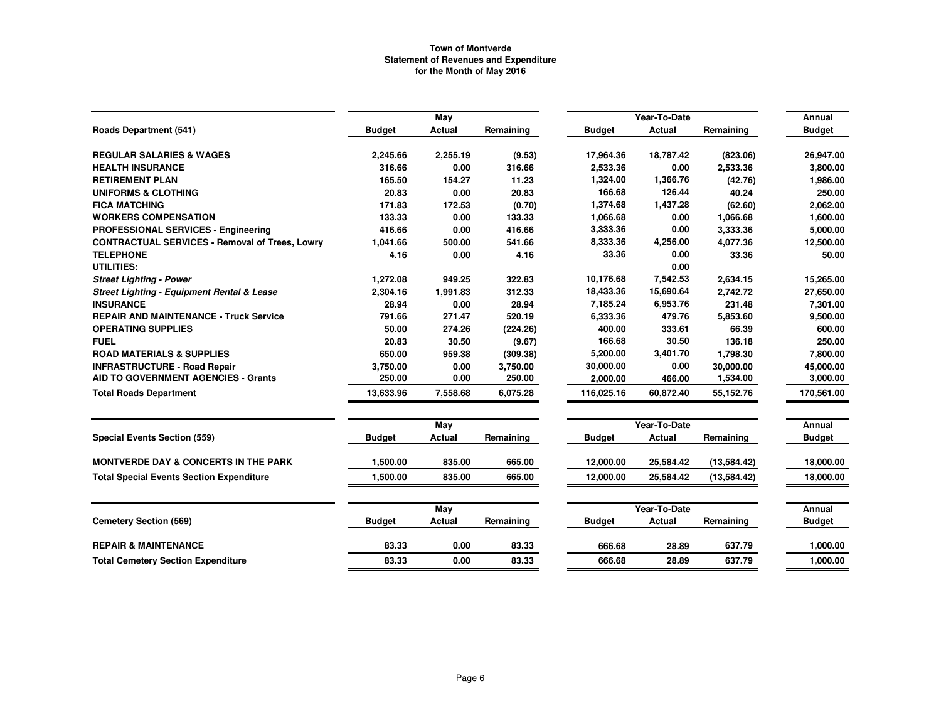|                                                       |               | May      |           |               | Year-To-Date  |              | Annual        |
|-------------------------------------------------------|---------------|----------|-----------|---------------|---------------|--------------|---------------|
| <b>Roads Department (541)</b>                         | <b>Budget</b> | Actual   | Remaining | <b>Budget</b> | <b>Actual</b> | Remaining    | <b>Budget</b> |
| <b>REGULAR SALARIES &amp; WAGES</b>                   | 2,245.66      | 2,255.19 | (9.53)    | 17,964.36     | 18,787.42     | (823.06)     | 26,947.00     |
| <b>HEALTH INSURANCE</b>                               | 316.66        | 0.00     | 316.66    | 2,533.36      | 0.00          | 2,533.36     | 3,800.00      |
| <b>RETIREMENT PLAN</b>                                | 165.50        | 154.27   | 11.23     | 1,324.00      | 1,366.76      | (42.76)      | 1,986.00      |
| <b>UNIFORMS &amp; CLOTHING</b>                        | 20.83         | 0.00     | 20.83     | 166.68        | 126.44        | 40.24        | 250.00        |
| <b>FICA MATCHING</b>                                  | 171.83        | 172.53   | (0.70)    | 1,374.68      | 1,437.28      | (62.60)      | 2.062.00      |
| <b>WORKERS COMPENSATION</b>                           | 133.33        | 0.00     | 133.33    | 1,066.68      | 0.00          | 1,066.68     | 1,600.00      |
| PROFESSIONAL SERVICES - Engineering                   | 416.66        | 0.00     | 416.66    | 3,333.36      | 0.00          | 3,333.36     | 5,000.00      |
| <b>CONTRACTUAL SERVICES - Removal of Trees, Lowry</b> | 1,041.66      | 500.00   | 541.66    | 8,333.36      | 4,256.00      | 4,077.36     | 12,500.00     |
| <b>TELEPHONE</b>                                      | 4.16          | 0.00     | 4.16      | 33.36         | 0.00          | 33.36        | 50.00         |
| UTILITIES:                                            |               |          |           |               | 0.00          |              |               |
| <b>Street Lighting - Power</b>                        | 1,272.08      | 949.25   | 322.83    | 10,176.68     | 7,542.53      | 2,634.15     | 15,265.00     |
| Street Lighting - Equipment Rental & Lease            | 2,304.16      | 1,991.83 | 312.33    | 18,433.36     | 15,690.64     | 2,742.72     | 27,650.00     |
| <b>INSURANCE</b>                                      | 28.94         | 0.00     | 28.94     | 7,185.24      | 6,953.76      | 231.48       | 7,301.00      |
| <b>REPAIR AND MAINTENANCE - Truck Service</b>         | 791.66        | 271.47   | 520.19    | 6,333.36      | 479.76        | 5,853.60     | 9,500.00      |
| <b>OPERATING SUPPLIES</b>                             | 50.00         | 274.26   | (224.26)  | 400.00        | 333.61        | 66.39        | 600.00        |
| <b>FUEL</b>                                           | 20.83         | 30.50    | (9.67)    | 166.68        | 30.50         | 136.18       | 250.00        |
| <b>ROAD MATERIALS &amp; SUPPLIES</b>                  | 650.00        | 959.38   | (309.38)  | 5,200.00      | 3,401.70      | 1,798.30     | 7,800.00      |
| <b>INFRASTRUCTURE - Road Repair</b>                   | 3,750.00      | 0.00     | 3,750.00  | 30,000.00     | 0.00          | 30,000.00    | 45,000.00     |
| AID TO GOVERNMENT AGENCIES - Grants                   | 250.00        | 0.00     | 250.00    | 2,000.00      | 466.00        | 1,534.00     | 3,000.00      |
| <b>Total Roads Department</b>                         | 13,633.96     | 7,558.68 | 6,075.28  | 116,025.16    | 60,872.40     | 55,152.76    | 170,561.00    |
|                                                       |               | May      |           |               | Year-To-Date  |              | <b>Annual</b> |
| <b>Special Events Section (559)</b>                   | <b>Budget</b> | Actual   | Remaining | <b>Budget</b> | <b>Actual</b> | Remaining    | <b>Budget</b> |
| <b>MONTVERDE DAY &amp; CONCERTS IN THE PARK</b>       | 1,500.00      | 835.00   | 665.00    | 12,000.00     | 25,584.42     | (13, 584.42) | 18,000.00     |
| <b>Total Special Events Section Expenditure</b>       | 1.500.00      | 835.00   | 665.00    | 12,000.00     | 25,584.42     | (13,584.42)  | 18,000.00     |
|                                                       |               | May      |           |               | Year-To-Date  |              | Annual        |
| <b>Cemetery Section (569)</b>                         | <b>Budget</b> | Actual   | Remaining | <b>Budget</b> | <b>Actual</b> | Remaining    | <b>Budget</b> |
| <b>REPAIR &amp; MAINTENANCE</b>                       | 83.33         | 0.00     | 83.33     | 666.68        | 28.89         | 637.79       | 1,000.00      |
| <b>Total Cemetery Section Expenditure</b>             | 83.33         | 0.00     | 83.33     | 666.68        | 28.89         | 637.79       | 1,000.00      |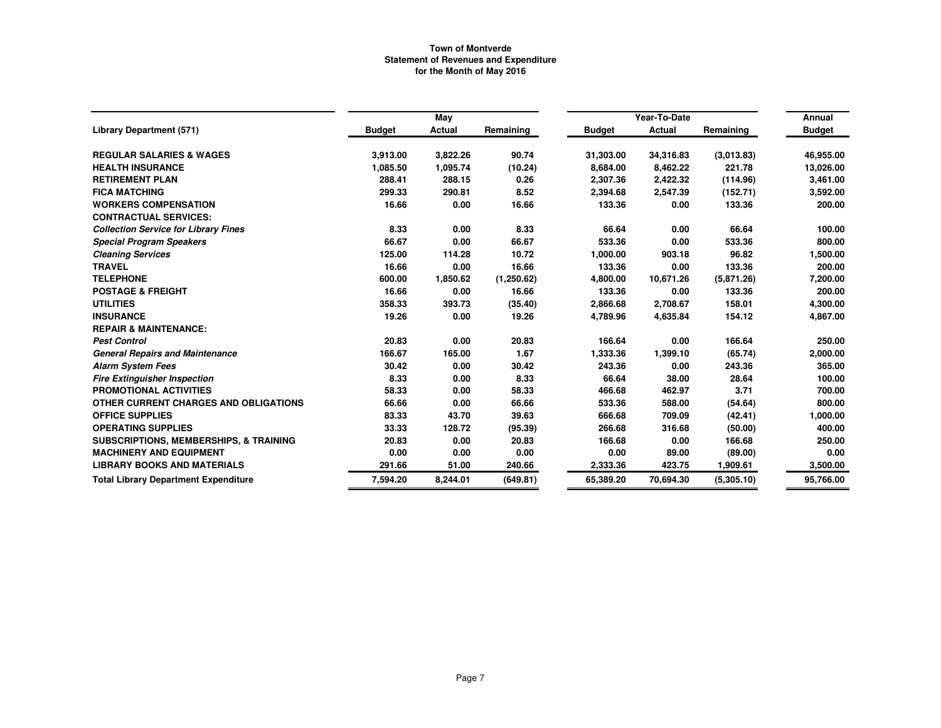|                                                   |               | May      |            |               | Year-To-Date  |            | Annual        |
|---------------------------------------------------|---------------|----------|------------|---------------|---------------|------------|---------------|
| <b>Library Department (571)</b>                   | <b>Budget</b> | Actual   | Remaining  | <b>Budget</b> | <b>Actual</b> | Remaining  | <b>Budget</b> |
| <b>REGULAR SALARIES &amp; WAGES</b>               | 3,913.00      | 3,822.26 | 90.74      | 31,303.00     | 34,316.83     | (3,013.83) | 46,955.00     |
| <b>HEALTH INSURANCE</b>                           | 1,085.50      | 1,095.74 | (10.24)    | 8,684.00      | 8,462.22      | 221.78     | 13,026.00     |
| <b>RETIREMENT PLAN</b>                            | 288.41        | 288.15   | 0.26       | 2,307.36      | 2,422.32      | (114.96)   | 3,461.00      |
| <b>FICA MATCHING</b>                              | 299.33        | 290.81   | 8.52       | 2,394.68      | 2,547.39      | (152.71)   | 3,592.00      |
| <b>WORKERS COMPENSATION</b>                       | 16.66         | 0.00     | 16.66      | 133.36        | 0.00          | 133.36     | 200.00        |
| <b>CONTRACTUAL SERVICES:</b>                      |               |          |            |               |               |            |               |
| <b>Collection Service for Library Fines</b>       | 8.33          | 0.00     | 8.33       | 66.64         | 0.00          | 66.64      | 100.00        |
| <b>Special Program Speakers</b>                   | 66.67         | 0.00     | 66.67      | 533.36        | 0.00          | 533.36     | 800.00        |
| <b>Cleaning Services</b>                          | 125.00        | 114.28   | 10.72      | 1,000.00      | 903.18        | 96.82      | 1,500.00      |
| <b>TRAVEL</b>                                     | 16.66         | 0.00     | 16.66      | 133.36        | 0.00          | 133.36     | 200.00        |
| <b>TELEPHONE</b>                                  | 600.00        | 1,850.62 | (1,250.62) | 4,800.00      | 10.671.26     | (5,871.26) | 7,200.00      |
| <b>POSTAGE &amp; FREIGHT</b>                      | 16.66         | 0.00     | 16.66      | 133.36        | 0.00          | 133.36     | 200.00        |
| <b>UTILITIES</b>                                  | 358.33        | 393.73   | (35.40)    | 2,866.68      | 2,708.67      | 158.01     | 4,300.00      |
| <b>INSURANCE</b>                                  | 19.26         | 0.00     | 19.26      | 4,789.96      | 4,635.84      | 154.12     | 4,867.00      |
| <b>REPAIR &amp; MAINTENANCE:</b>                  |               |          |            |               |               |            |               |
| <b>Pest Control</b>                               | 20.83         | 0.00     | 20.83      | 166.64        | 0.00          | 166.64     | 250.00        |
| <b>General Repairs and Maintenance</b>            | 166.67        | 165.00   | 1.67       | 1,333.36      | 1,399.10      | (65.74)    | 2,000.00      |
| <b>Alarm System Fees</b>                          | 30.42         | 0.00     | 30.42      | 243.36        | 0.00          | 243.36     | 365.00        |
| <b>Fire Extinguisher Inspection</b>               | 8.33          | 0.00     | 8.33       | 66.64         | 38.00         | 28.64      | 100.00        |
| <b>PROMOTIONAL ACTIVITIES</b>                     | 58.33         | 0.00     | 58.33      | 466.68        | 462.97        | 3.71       | 700.00        |
| OTHER CURRENT CHARGES AND OBLIGATIONS             | 66.66         | 0.00     | 66.66      | 533.36        | 588.00        | (54.64)    | 800.00        |
| <b>OFFICE SUPPLIES</b>                            | 83.33         | 43.70    | 39.63      | 666.68        | 709.09        | (42.41)    | 1,000.00      |
| <b>OPERATING SUPPLIES</b>                         | 33.33         | 128.72   | (95.39)    | 266.68        | 316.68        | (50.00)    | 400.00        |
| <b>SUBSCRIPTIONS, MEMBERSHIPS, &amp; TRAINING</b> | 20.83         | 0.00     | 20.83      | 166.68        | 0.00          | 166.68     | 250.00        |
| <b>MACHINERY AND EQUIPMENT</b>                    | 0.00          | 0.00     | 0.00       | 0.00          | 89.00         | (89.00)    | 0.00          |
| <b>LIBRARY BOOKS AND MATERIALS</b>                | 291.66        | 51.00    | 240.66     | 2,333.36      | 423.75        | 1,909.61   | 3,500.00      |
| <b>Total Library Department Expenditure</b>       | 7,594.20      | 8,244.01 | (649.81)   | 65,389.20     | 70.694.30     | (5,305.10) | 95,766.00     |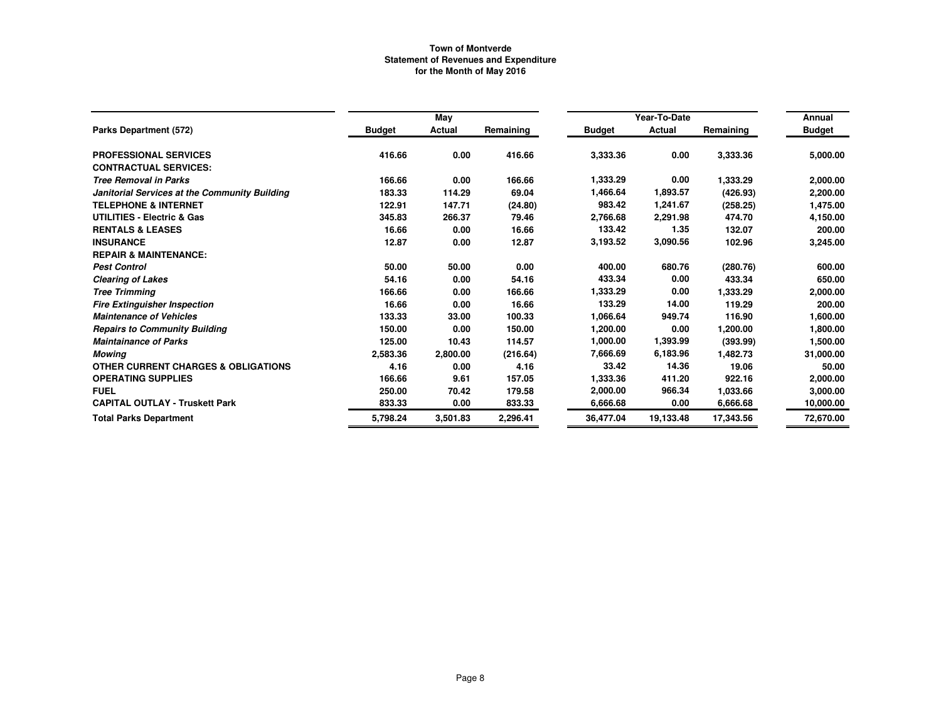|                                                |               |               |           |               | Year-To-Date |           |                         |  |
|------------------------------------------------|---------------|---------------|-----------|---------------|--------------|-----------|-------------------------|--|
| Parks Department (572)                         | <b>Budget</b> | May<br>Actual | Remaining | <b>Budget</b> | Actual       | Remaining | Annual<br><b>Budget</b> |  |
|                                                |               |               |           |               |              |           |                         |  |
| <b>PROFESSIONAL SERVICES</b>                   | 416.66        | 0.00          | 416.66    | 3,333.36      | 0.00         | 3,333.36  | 5,000.00                |  |
| <b>CONTRACTUAL SERVICES:</b>                   |               |               |           |               |              |           |                         |  |
| <b>Tree Removal in Parks</b>                   | 166.66        | 0.00          | 166.66    | 1,333.29      | 0.00         | 1,333.29  | 2,000.00                |  |
| Janitorial Services at the Community Building  | 183.33        | 114.29        | 69.04     | 1,466.64      | 1,893.57     | (426.93)  | 2,200.00                |  |
| <b>TELEPHONE &amp; INTERNET</b>                | 122.91        | 147.71        | (24.80)   | 983.42        | 1,241.67     | (258.25)  | 1,475.00                |  |
| <b>UTILITIES - Electric &amp; Gas</b>          | 345.83        | 266.37        | 79.46     | 2,766.68      | 2,291.98     | 474.70    | 4,150.00                |  |
| <b>RENTALS &amp; LEASES</b>                    | 16.66         | 0.00          | 16.66     | 133.42        | 1.35         | 132.07    | 200.00                  |  |
| <b>INSURANCE</b>                               | 12.87         | 0.00          | 12.87     | 3,193.52      | 3,090.56     | 102.96    | 3,245.00                |  |
| <b>REPAIR &amp; MAINTENANCE:</b>               |               |               |           |               |              |           |                         |  |
| <b>Pest Control</b>                            | 50.00         | 50.00         | 0.00      | 400.00        | 680.76       | (280.76)  | 600.00                  |  |
| <b>Clearing of Lakes</b>                       | 54.16         | 0.00          | 54.16     | 433.34        | 0.00         | 433.34    | 650.00                  |  |
| <b>Tree Trimming</b>                           | 166.66        | 0.00          | 166.66    | 1,333.29      | 0.00         | 1,333.29  | 2,000.00                |  |
| <b>Fire Extinguisher Inspection</b>            | 16.66         | 0.00          | 16.66     | 133.29        | 14.00        | 119.29    | 200.00                  |  |
| <b>Maintenance of Vehicles</b>                 | 133.33        | 33.00         | 100.33    | 1,066.64      | 949.74       | 116.90    | 1,600.00                |  |
| <b>Repairs to Community Building</b>           | 150.00        | 0.00          | 150.00    | 1,200.00      | 0.00         | 1,200.00  | 1,800.00                |  |
| <b>Maintainance of Parks</b>                   | 125.00        | 10.43         | 114.57    | 1,000.00      | 1,393.99     | (393.99)  | 1,500.00                |  |
| Mowing                                         | 2,583.36      | 2,800.00      | (216.64)  | 7,666.69      | 6,183.96     | 1,482.73  | 31,000.00               |  |
| <b>OTHER CURRENT CHARGES &amp; OBLIGATIONS</b> | 4.16          | 0.00          | 4.16      | 33.42         | 14.36        | 19.06     | 50.00                   |  |
| <b>OPERATING SUPPLIES</b>                      | 166.66        | 9.61          | 157.05    | 1,333.36      | 411.20       | 922.16    | 2,000.00                |  |
| <b>FUEL</b>                                    | 250.00        | 70.42         | 179.58    | 2,000.00      | 966.34       | 1,033.66  | 3,000.00                |  |
| <b>CAPITAL OUTLAY - Truskett Park</b>          | 833.33        | 0.00          | 833.33    | 6,666.68      | 0.00         | 6,666.68  | 10,000.00               |  |
| <b>Total Parks Department</b>                  | 5,798.24      | 3,501.83      | 2,296.41  | 36,477.04     | 19.133.48    | 17,343.56 | 72,670.00               |  |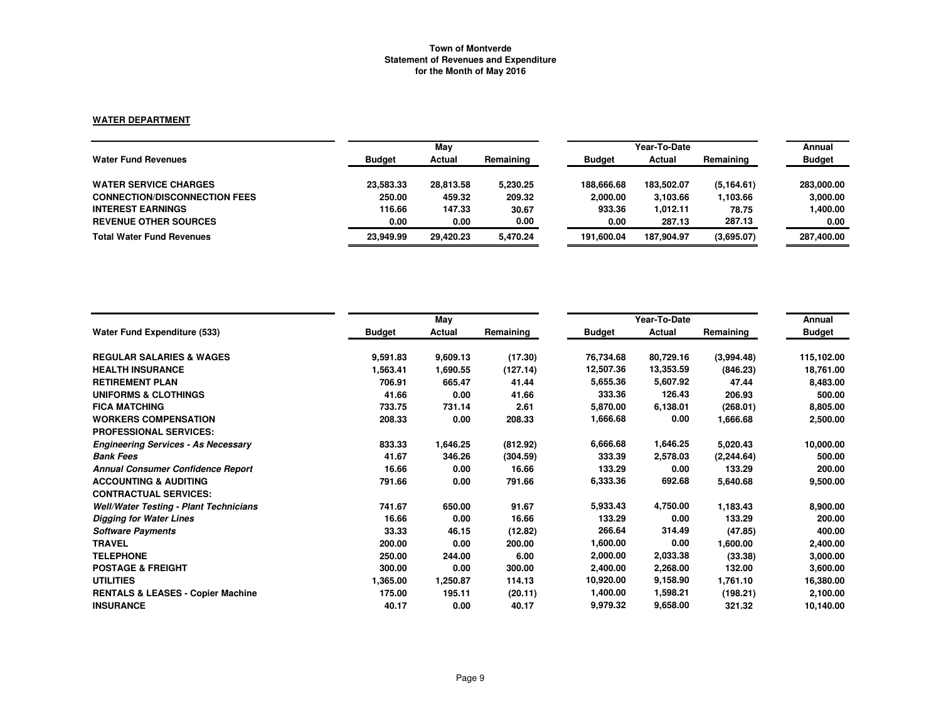## **WATER DEPARTMENT**

|                                      |               | May       |           |               | Year-To-Date |            |               |  |
|--------------------------------------|---------------|-----------|-----------|---------------|--------------|------------|---------------|--|
| <b>Water Fund Revenues</b>           | <b>Budget</b> | Actual    | Remaining | <b>Budget</b> | Actual       | Remaining  | <b>Budget</b> |  |
| <b>WATER SERVICE CHARGES</b>         | 23,583.33     | 28,813.58 | 5,230.25  | 188.666.68    | 183.502.07   | (5.164.61) | 283,000.00    |  |
| <b>CONNECTION/DISCONNECTION FEES</b> | 250.00        | 459.32    | 209.32    | 2,000.00      | 3.103.66     | 1,103.66   | 3,000.00      |  |
| <b>INTEREST EARNINGS</b>             | 116.66        | 147.33    | 30.67     | 933.36        | 1.012.11     | 78.75      | 1,400.00      |  |
| <b>REVENUE OTHER SOURCES</b>         | 0.00          | 0.00      | 0.00      | 0.00          | 287.13       | 287.13     | 0.00          |  |
| <b>Total Water Fund Revenues</b>     | 23.949.99     | 29.420.23 | 5.470.24  | 191.600.04    | 187.904.97   | (3,695.07) | 287,400.00    |  |

|                                               |               | May      |           |               | Year-To-Date |             | Annual        |
|-----------------------------------------------|---------------|----------|-----------|---------------|--------------|-------------|---------------|
| Water Fund Expenditure (533)                  | <b>Budget</b> | Actual   | Remaining | <b>Budget</b> | Actual       | Remaining   | <b>Budget</b> |
| <b>REGULAR SALARIES &amp; WAGES</b>           | 9,591.83      | 9,609.13 | (17.30)   | 76,734.68     | 80,729.16    | (3,994.48)  | 115,102.00    |
| <b>HEALTH INSURANCE</b>                       | 1,563.41      | 1,690.55 | (127.14)  | 12,507.36     | 13,353.59    | (846.23)    | 18,761.00     |
| <b>RETIREMENT PLAN</b>                        | 706.91        | 665.47   | 41.44     | 5,655.36      | 5,607.92     | 47.44       | 8,483.00      |
| <b>UNIFORMS &amp; CLOTHINGS</b>               | 41.66         | 0.00     | 41.66     | 333.36        | 126.43       | 206.93      | 500.00        |
| <b>FICA MATCHING</b>                          | 733.75        | 731.14   | 2.61      | 5,870.00      | 6,138.01     | (268.01)    | 8,805.00      |
| <b>WORKERS COMPENSATION</b>                   | 208.33        | 0.00     | 208.33    | 1,666.68      | 0.00         | 1,666.68    | 2,500.00      |
| <b>PROFESSIONAL SERVICES:</b>                 |               |          |           |               |              |             |               |
| <b>Engineering Services - As Necessary</b>    | 833.33        | 1,646.25 | (812.92)  | 6,666.68      | 1,646.25     | 5,020.43    | 10,000.00     |
| <b>Bank Fees</b>                              | 41.67         | 346.26   | (304.59)  | 333.39        | 2,578.03     | (2, 244.64) | 500.00        |
| <b>Annual Consumer Confidence Report</b>      | 16.66         | 0.00     | 16.66     | 133.29        | 0.00         | 133.29      | 200.00        |
| <b>ACCOUNTING &amp; AUDITING</b>              | 791.66        | 0.00     | 791.66    | 6,333.36      | 692.68       | 5,640.68    | 9,500.00      |
| <b>CONTRACTUAL SERVICES:</b>                  |               |          |           |               |              |             |               |
| <b>Well/Water Testing - Plant Technicians</b> | 741.67        | 650.00   | 91.67     | 5,933.43      | 4,750.00     | 1,183.43    | 8,900.00      |
| <b>Digging for Water Lines</b>                | 16.66         | 0.00     | 16.66     | 133.29        | 0.00         | 133.29      | 200.00        |
| <b>Software Payments</b>                      | 33.33         | 46.15    | (12.82)   | 266.64        | 314.49       | (47.85)     | 400.00        |
| <b>TRAVEL</b>                                 | 200.00        | 0.00     | 200.00    | 1,600.00      | 0.00         | 1,600.00    | 2,400.00      |
| <b>TELEPHONE</b>                              | 250.00        | 244.00   | 6.00      | 2,000.00      | 2,033.38     | (33.38)     | 3,000.00      |
| <b>POSTAGE &amp; FREIGHT</b>                  | 300.00        | 0.00     | 300.00    | 2,400.00      | 2,268.00     | 132.00      | 3,600.00      |
| <b>UTILITIES</b>                              | 1,365.00      | 1,250.87 | 114.13    | 10,920.00     | 9,158.90     | 1,761.10    | 16,380.00     |
| <b>RENTALS &amp; LEASES - Copier Machine</b>  | 175.00        | 195.11   | (20.11)   | 1,400.00      | 1,598.21     | (198.21)    | 2,100.00      |
| <b>INSURANCE</b>                              | 40.17         | 0.00     | 40.17     | 9,979.32      | 9,658.00     | 321.32      | 10,140.00     |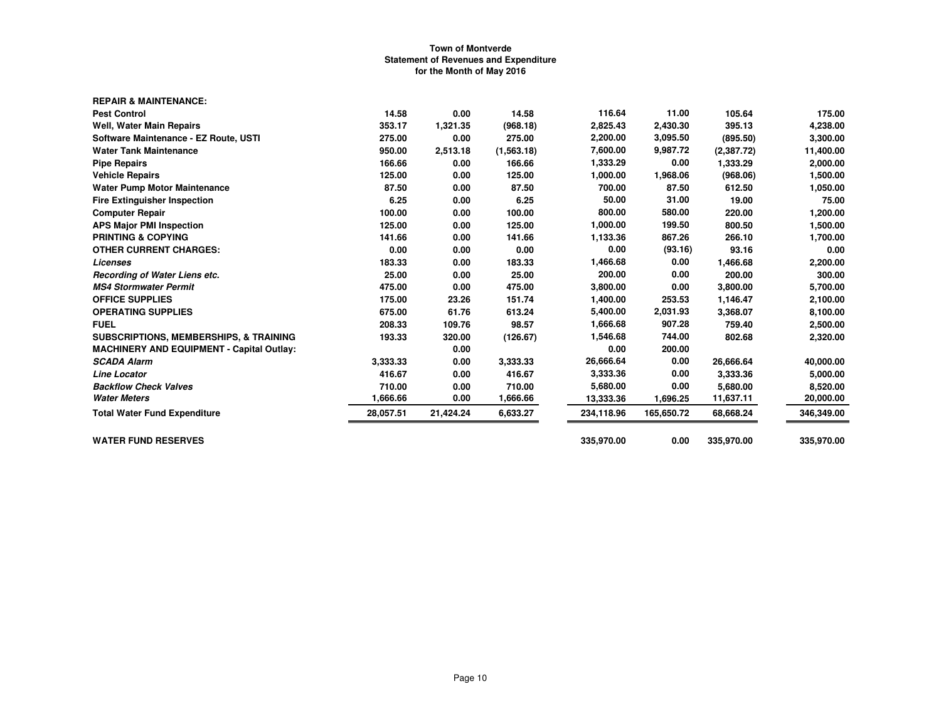| <b>REPAIR &amp; MAINTENANCE:</b>                  |           |           |            |            |            |            |            |
|---------------------------------------------------|-----------|-----------|------------|------------|------------|------------|------------|
| <b>Pest Control</b>                               | 14.58     | 0.00      | 14.58      | 116.64     | 11.00      | 105.64     | 175.00     |
| Well, Water Main Repairs                          | 353.17    | 1,321.35  | (968.18)   | 2,825.43   | 2,430.30   | 395.13     | 4,238.00   |
| Software Maintenance - EZ Route, USTI             | 275.00    | 0.00      | 275.00     | 2,200.00   | 3,095.50   | (895.50)   | 3,300.00   |
| <b>Water Tank Maintenance</b>                     | 950.00    | 2,513.18  | (1,563.18) | 7,600.00   | 9,987.72   | (2,387.72) | 11,400.00  |
| <b>Pipe Repairs</b>                               | 166.66    | 0.00      | 166.66     | 1,333.29   | 0.00       | 1,333.29   | 2,000.00   |
| <b>Vehicle Repairs</b>                            | 125.00    | 0.00      | 125.00     | 1,000.00   | 1,968.06   | (968.06)   | 1,500.00   |
| <b>Water Pump Motor Maintenance</b>               | 87.50     | 0.00      | 87.50      | 700.00     | 87.50      | 612.50     | 1,050.00   |
| <b>Fire Extinguisher Inspection</b>               | 6.25      | 0.00      | 6.25       | 50.00      | 31.00      | 19.00      | 75.00      |
| <b>Computer Repair</b>                            | 100.00    | 0.00      | 100.00     | 800.00     | 580.00     | 220.00     | 1,200.00   |
| <b>APS Major PMI Inspection</b>                   | 125.00    | 0.00      | 125.00     | 1,000.00   | 199.50     | 800.50     | 1,500.00   |
| <b>PRINTING &amp; COPYING</b>                     | 141.66    | 0.00      | 141.66     | 1,133.36   | 867.26     | 266.10     | 1,700.00   |
| <b>OTHER CURRENT CHARGES:</b>                     | 0.00      | 0.00      | 0.00       | 0.00       | (93.16)    | 93.16      | 0.00       |
| Licenses                                          | 183.33    | 0.00      | 183.33     | 1,466.68   | 0.00       | 1,466.68   | 2,200.00   |
| Recording of Water Liens etc.                     | 25.00     | 0.00      | 25.00      | 200.00     | 0.00       | 200.00     | 300.00     |
| <b>MS4 Stormwater Permit</b>                      | 475.00    | 0.00      | 475.00     | 3,800.00   | 0.00       | 3,800.00   | 5,700.00   |
| <b>OFFICE SUPPLIES</b>                            | 175.00    | 23.26     | 151.74     | 1,400.00   | 253.53     | 1,146.47   | 2,100.00   |
| <b>OPERATING SUPPLIES</b>                         | 675.00    | 61.76     | 613.24     | 5,400.00   | 2,031.93   | 3,368.07   | 8,100.00   |
| <b>FUEL</b>                                       | 208.33    | 109.76    | 98.57      | 1,666.68   | 907.28     | 759.40     | 2,500.00   |
| <b>SUBSCRIPTIONS, MEMBERSHIPS, &amp; TRAINING</b> | 193.33    | 320.00    | (126.67)   | 1,546.68   | 744.00     | 802.68     | 2,320.00   |
| <b>MACHINERY AND EQUIPMENT - Capital Outlay:</b>  |           | 0.00      |            | 0.00       | 200.00     |            |            |
| <b>SCADA Alarm</b>                                | 3,333.33  | 0.00      | 3.333.33   | 26,666.64  | 0.00       | 26,666.64  | 40,000.00  |
| <b>Line Locator</b>                               | 416.67    | 0.00      | 416.67     | 3,333.36   | 0.00       | 3,333.36   | 5,000.00   |
| <b>Backflow Check Valves</b>                      | 710.00    | 0.00      | 710.00     | 5,680.00   | 0.00       | 5,680.00   | 8,520.00   |
| <b>Water Meters</b>                               | 1,666.66  | 0.00      | 1,666.66   | 13,333.36  | 1,696.25   | 11,637.11  | 20,000.00  |
| <b>Total Water Fund Expenditure</b>               | 28,057.51 | 21,424.24 | 6,633.27   | 234,118.96 | 165,650.72 | 68,668.24  | 346,349.00 |
| <b>WATER FUND RESERVES</b>                        |           |           |            | 335,970.00 | 0.00       | 335,970.00 | 335,970.00 |
|                                                   |           |           |            |            |            |            |            |